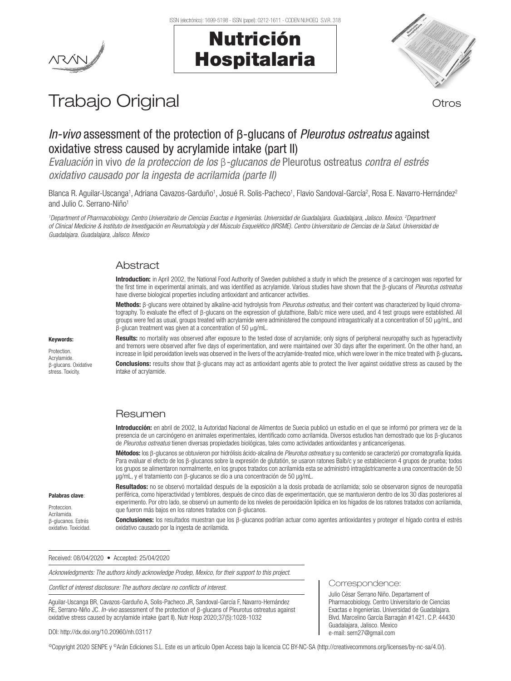## Nutrición Hospitalaria



# Trabajo Original **Trabajo Original**

## *In-vivo* assessment of the protection of β-glucans of *Pleurotus ostreatus* against oxidative stress caused by acrylamide intake (part II)

*Evaluación* in vivo *de la proteccion de los* β*-glucanos de* Pleurotus ostreatus *contra el estrés oxidativo causado por la ingesta de acrilamida (parte II)*

Blanca R. Aguilar-Uscanga<sup>1</sup>, Adriana Cavazos-Garduño<sup>1</sup>, Josué R. Solis-Pacheco<sup>1</sup>, Flavio Sandoval-García<sup>2</sup>, Rosa E. Navarro-Hernández<sup>2</sup> and Julio C. Serrano-Niño<sup>1</sup>

<sup>1</sup>Department of Pharmacobiology. Centro Universitario de Ciencias Exactas e Ingenierías. Universidad de Guadalajara, Guadalajara, Jalisco. Mexico. <sup>2</sup>Department *of Clinical Medicine & Instituto de Investigación en Reumatología y del Músculo Esquelético (IIRSME). Centro Universitario de Ciencias de la Salud. Universidad de Guadalajara. Guadalajara, Jalisco. Mexico*

### Abstract

Introduction: in April 2002, the National Food Authority of Sweden published a study in which the presence of a carcinogen was reported for the first time in experimental animals, and was identified as acrylamide. Various studies have shown that the β-glucans of *Pleurotus ostreatus* have diverse biological properties including antioxidant and anticancer activities.

Methods: β-glucans were obtained by alkaline-acid hydrolysis from *Pleurotus ostreatus*, and their content was characterized by liquid chromatography. To evaluate the effect of β-glucans on the expression of glutathione, Balb/c mice were used, and 4 test groups were established. All groups were fed as usual, groups treated with acrylamide were administered the compound intragastrically at a concentration of 50 µg/mL, and β-glucan treatment was given at a concentration of 50 µg/mL.

Keywords:

Protection. Acrylamide. β-glucans. Oxidative stress. Toxicity.

Results: no mortality was observed after exposure to the tested dose of acrylamide; only signs of peripheral neuropathy such as hyperactivity and tremors were observed after five days of experimentation, and were maintained over 30 days after the experiment. On the other hand, an increase in lipid peroxidation levels was observed in the livers of the acrylamide-treated mice, which were lower in the mice treated with β-glucans.

Conclusions: results show that β-glucans may act as antioxidant agents able to protect the liver against oxidative stress as caused by the intake of acrylamide.

## Resumen

Introducción: en abril de 2002, la Autoridad Nacional de Alimentos de Suecia publicó un estudio en el que se informó por primera vez de la presencia de un carcinógeno en animales experimentales, identificado como acrilamida. Diversos estudios han demostrado que los β-glucanos de *Pleurotus ostreatus* tienen diversas propiedades biológicas, tales como actividades antioxidantes y anticancerígenas.

Métodos: los β-glucanos se obtuvieron por hidrólisis ácido-alcalina de *Pleurotus ostreatus* y su contenido se caracterizó por cromatografía líquida. Para evaluar el efecto de los β-glucanos sobre la expresión de glutatión, se usaron ratones Balb/c y se establecieron 4 grupos de prueba; todos los grupos se alimentaron normalmente, en los grupos tratados con acrilamida esta se administró intragástricamente a una concentración de 50 µg/mL, y el tratamiento con β-glucanos se dio a una concentración de 50 µg/mL.

Resultados: no se observó mortalidad después de la exposición a la dosis probada de acrilamida; solo se observaron signos de neuropatía periférica, como hiperactividad y temblores, después de cinco días de experimentación, que se mantuvieron dentro de los 30 días posteriores al experimento. Por otro lado, se observó un aumento de los niveles de peroxidación lipídica en los hígados de los ratones tratados con acrilamida, que fueron más bajos en los ratones tratados con β-glucanos.

Conclusiones: los resultados muestran que los β-glucanos podrían actuar como agentes antioxidantes y proteger el hígado contra el estrés oxidativo causado por la ingesta de acrilamida.

Received: 08/04/2020 • Accepted: 25/04/2020

*Acknowledgments: The authors kindly acknowledge Prodep, Mexico, for their support to this project.* 

*Conflict of interest disclosure: The authors declare no conflicts of interest.*

Aguilar-Uscanga BR, Cavazos-Garduño A, Solis-Pacheco JR, Sandoval-García F, Navarro-Hernández RE, Serrano-Niño JC. *In-vivo* assessment of the protection of β-glucans of Pleurotus ostreatus against oxidative stress caused by acrylamide intake (part II). Nutr Hosp 2020;37(5):1028-1032

#### DOI: http://dx.doi.org/10.20960/nh.03117

©Copyright 2020 SENPE y ©Arán Ediciones S.L. Este es un artículo Open Access bajo la licencia CC BY-NC-SA (http://creativecommons.org/licenses/by-nc-sa/4.0/).

### Palabras clave:

Proteccion. Acrilamida. β-glucanos. Estrés oxidativo. Toxicidad.

Correspondence:

Julio César Serrano Niño. Departament of Pharmacobiology. Centro Universitario de Ciencias Exactas e Ingenierías. Universidad de Guadalajara. Blvd. Marcelino García Barragán #1421. C.P. 44430 Guadalajara, Jalisco. Mexico e-mail: sern27@gmail.com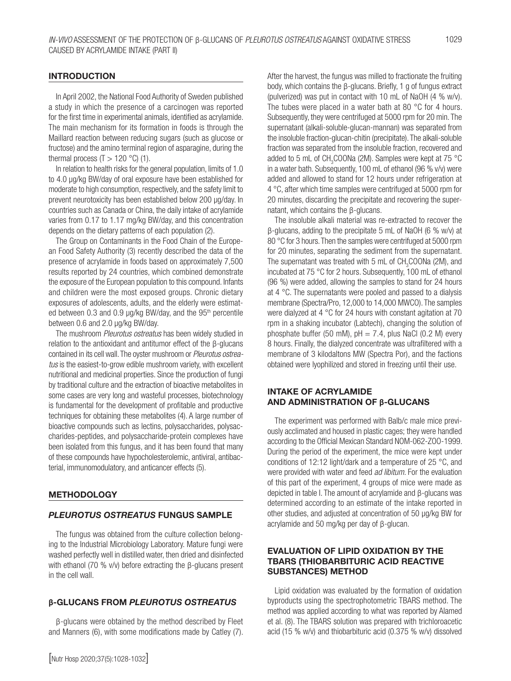#### **INTRODUCTION**

In April 2002, the National Food Authority of Sweden published a study in which the presence of a carcinogen was reported for the first time in experimental animals, identified as acrylamide. The main mechanism for its formation in foods is through the Maillard reaction between reducing sugars (such as glucose or fructose) and the amino terminal region of asparagine, during the thermal process  $(T > 120 °C)$  (1).

In relation to health risks for the general population, limits of 1.0 to 4.0 μg/kg BW/day of oral exposure have been established for moderate to high consumption, respectively, and the safety limit to prevent neurotoxicity has been established below 200 μg/day. In countries such as Canada or China, the daily intake of acrylamide varies from 0.17 to 1.17 mg/kg BW/day, and this concentration depends on the dietary patterns of each population (2).

The Group on Contaminants in the Food Chain of the European Food Safety Authority (3) recently described the data of the presence of acrylamide in foods based on approximately 7,500 results reported by 24 countries, which combined demonstrate the exposure of the European population to this compound. Infants and children were the most exposed groups. Chronic dietary exposures of adolescents, adults, and the elderly were estimated between 0.3 and 0.9 μg/kg BW/day, and the 95<sup>th</sup> percentile between 0.6 and 2.0 μg/kg BW/day.

The mushroom *Pleurotus ostreatus* has been widely studied in relation to the antioxidant and antitumor effect of the β-glucans contained in its cell wall. The oyster mushroom or *Pleurotus ostreatus* is the easiest-to-grow edible mushroom variety, with excellent nutritional and medicinal properties. Since the production of fungi by traditional culture and the extraction of bioactive metabolites in some cases are very long and wasteful processes, biotechnology is fundamental for the development of profitable and productive techniques for obtaining these metabolites (4). A large number of bioactive compounds such as lectins, polysaccharides, polysaccharides-peptides, and polysaccharide-protein complexes have been isolated from this fungus, and it has been found that many of these compounds have hypocholesterolemic, antiviral, antibacterial, immunomodulatory, and anticancer effects (5).

#### **METHODOLOGY**

#### *PLEUROTUS OSTREATUS* FUNGUS SAMPLE

The fungus was obtained from the culture collection belonging to the Industrial Microbiology Laboratory. Mature fungi were washed perfectly well in distilled water, then dried and disinfected with ethanol (70 % v/v) before extracting the β-glucans present in the cell wall.

#### **β**-GLUCANS FROM *PLEUROTUS OSTREATUS*

β-glucans were obtained by the method described by Fleet and Manners (6), with some modifications made by Catley (7).

After the harvest, the fungus was milled to fractionate the fruiting body, which contains the β-glucans. Briefly, 1 g of fungus extract (pulverized) was put in contact with 10 mL of NaOH (4 % w/v). The tubes were placed in a water bath at 80 °C for 4 hours. Subsequently, they were centrifuged at 5000 rpm for 20 min. The supernatant (alkali-soluble-glucan-mannan) was separated from the insoluble fraction-glucan-chitin (precipitate). The alkali-soluble fraction was separated from the insoluble fraction, recovered and added to 5 mL of  $CH_3COONa$  (2M). Samples were kept at 75 °C in a water bath. Subsequently, 100 mL of ethanol (96 % v/v) were added and allowed to stand for 12 hours under refrigeration at 4 °C, after which time samples were centrifuged at 5000 rpm for 20 minutes, discarding the precipitate and recovering the supernatant, which contains the β-glucans.

The insoluble alkali material was re-extracted to recover the β-glucans, adding to the precipitate 5 mL of NaOH (6 % w/v) at 80 °C for 3 hours. Then the samples were centrifuged at 5000 rpm for 20 minutes, separating the sediment from the supernatant. The supernatant was treated with 5 mL of  $CH<sub>3</sub>COONa$  (2M), and incubated at 75 °C for 2 hours. Subsequently, 100 mL of ethanol (96 %) were added, allowing the samples to stand for 24 hours at 4 °C. The supernatants were pooled and passed to a dialysis membrane (Spectra/Pro, 12,000 to 14,000 MWCO). The samples were dialyzed at 4 °C for 24 hours with constant agitation at 70 rpm in a shaking incubator (Labtech), changing the solution of phosphate buffer (50 mM),  $pH = 7.4$ , plus NaCl (0.2 M) every 8 hours. Finally, the dialyzed concentrate was ultrafiltered with a membrane of 3 kilodaltons MW (Spectra Por), and the factions obtained were lyophilized and stored in freezing until their use.

#### INTAKE OF ACRYLAMIDE AND ADMINISTRATION OF **β**-GLUCANS

The experiment was performed with Balb/c male mice previously acclimated and housed in plastic cages; they were handled according to the Official Mexican Standard NOM-062-ZOO-1999. During the period of the experiment, the mice were kept under conditions of 12:12 light/dark and a temperature of 25 °C, and were provided with water and feed *ad libitum*. For the evaluation of this part of the experiment, 4 groups of mice were made as depicted in table I. The amount of acrylamide and β-glucans was determined according to an estimate of the intake reported in other studies, and adjusted at concentration of 50 µg/kg BW for acrylamide and 50 mg/kg per day of β-glucan.

#### EVALUATION OF LIPID OXIDATION BY THE TBARS (THIOBARBITURIC ACID REACTIVE SUBSTANCES) METHOD

Lipid oxidation was evaluated by the formation of oxidation byproducts using the spectrophotometric TBARS method. The method was applied according to what was reported by Alamed et al. (8). The TBARS solution was prepared with trichloroacetic acid (15 % w/v) and thiobarbituric acid (0.375 % w/v) dissolved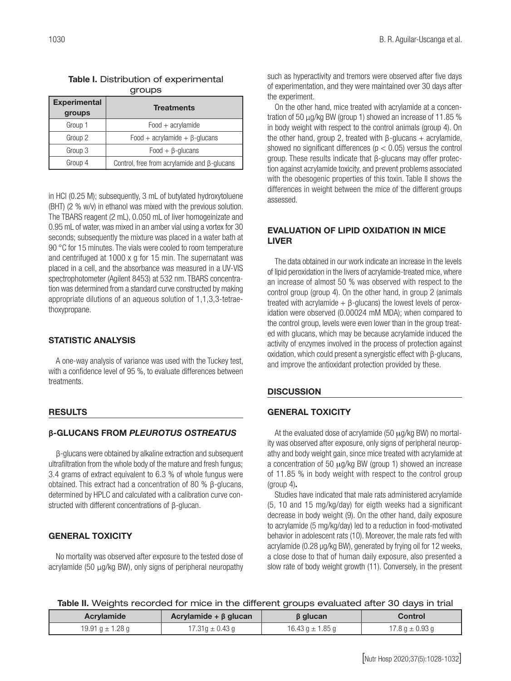| <b>Experimental</b><br>groups | <b>Treatments</b>                                  |  |
|-------------------------------|----------------------------------------------------|--|
| Group 1                       | $Food + acrylamide$                                |  |
| Group 2                       | Food + acrylamide + $\beta$ -glucans               |  |
| Group 3                       | $Food + \beta$ -glucans                            |  |
| Group 4                       | Control, free from acrylamide and $\beta$ -glucans |  |

| Table I. Distribution of experimental |  |
|---------------------------------------|--|
| groups                                |  |

in HCl (0.25 M); subsequently, 3 mL of butylated hydroxytoluene (BHT) (2 % w/v) in ethanol was mixed with the previous solution. The TBARS reagent (2 mL), 0.050 mL of liver homogeinizate and 0.95 mL of water, was mixed in an amber vial using a vortex for 30 seconds; subsequently the mixture was placed in a water bath at 90 °C for 15 minutes. The vials were cooled to room temperature and centrifuged at 1000 x g for 15 min. The supernatant was placed in a cell, and the absorbance was measured in a UV-VIS spectrophotometer (Agilent 8453) at 532 nm. TBARS concentration was determined from a standard curve constructed by making appropriate dilutions of an aqueous solution of 1,1,3,3-tetraethoxypropane.

## STATISTIC ANALYSIS

A one-way analysis of variance was used with the Tuckey test, with a confidence level of 95 %, to evaluate differences between treatments.

### RESULTS

### **β**-GLUCANS FROM *PLEUROTUS OSTREATUS*

β-glucans were obtained by alkaline extraction and subsequent ultrafiltration from the whole body of the mature and fresh fungus; 3.4 grams of extract equivalent to 6.3 % of whole fungus were obtained. This extract had a concentration of 80 % β-glucans, determined by HPLC and calculated with a calibration curve constructed with different concentrations of β-glucan.

## GENERAL TOXICITY

No mortality was observed after exposure to the tested dose of acrylamide (50 µg/kg BW), only signs of peripheral neuropathy such as hyperactivity and tremors were observed after five days of experimentation, and they were maintained over 30 days after the experiment.

On the other hand, mice treated with acrylamide at a concentration of 50 µg/kg BW (group 1) showed an increase of 11.85 % in body weight with respect to the control animals (group 4). On the other hand, group 2, treated with  $β$ -glucans  $+$  acrylamide, showed no significant differences ( $p < 0.05$ ) versus the control group. These results indicate that β-glucans may offer protection against acrylamide toxicity, and prevent problems associated with the obesogenic properties of this toxin. Table II shows the differences in weight between the mice of the different groups assessed.

## EVALUATION OF LIPID OXIDATION IN MICE LIVER

The data obtained in our work indicate an increase in the levels of lipid peroxidation in the livers of acrylamide-treated mice, where an increase of almost 50 % was observed with respect to the control group (group 4). On the other hand, in group 2 (animals treated with acrylamide  $+$  β-glucans) the lowest levels of peroxidation were observed (0.00024 mM MDA); when compared to the control group, levels were even lower than in the group treated with glucans, which may be because acrylamide induced the activity of enzymes involved in the process of protection against oxidation, which could present a synergistic effect with β-glucans, and improve the antioxidant protection provided by these.

## **DISCUSSION**

## GENERAL TOXICITY

At the evaluated dose of acrylamide (50  $\mu$ g/kg BW) no mortality was observed after exposure, only signs of peripheral neuropathy and body weight gain, since mice treated with acrylamide at a concentration of 50 µg/kg BW (group 1) showed an increase of 11.85 % in body weight with respect to the control group (group 4).

Studies have indicated that male rats administered acrylamide (5, 10 and 15 mg/kg/day) for eigth weeks had a significant decrease in body weight (9). On the other hand, daily exposure to acrylamide (5 mg/kg/day) led to a reduction in food-motivated behavior in adolescent rats (10). Moreover, the male rats fed with acrylamide (0.28 μg/kg BW), generated by frying oil for 12 weeks, a close dose to that of human daily exposure, also presented a slow rate of body weight growth (11). Conversely, in the present

|  | Table II. Weights recorded for mice in the different groups evaluated after 30 days in trial |  |
|--|----------------------------------------------------------------------------------------------|--|
|  |                                                                                              |  |

| <b>Acrylamide</b>    | Acrylamide + $\beta$ glucan | <b>B</b> glucan      | Control             |
|----------------------|-----------------------------|----------------------|---------------------|
| 19.91 $q \pm 1.28$ q | 17.31g $\pm$ 0.43 g         | 16.43 g $\pm$ 1.85 g | 17.8 g $\pm$ 0.93 g |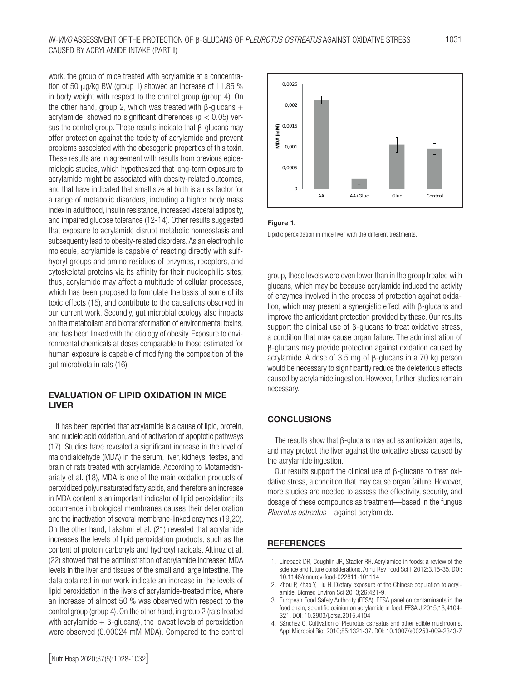work, the group of mice treated with acrylamide at a concentration of 50 µg/kg BW (group 1) showed an increase of 11.85 % in body weight with respect to the control group (group 4). On the other hand, group 2, which was treated with β-glucans + acrylamide, showed no significant differences ( $p < 0.05$ ) versus the control group. These results indicate that β-glucans may offer protection against the toxicity of acrylamide and prevent problems associated with the obesogenic properties of this toxin. These results are in agreement with results from previous epidemiologic studies, which hypothesized that long-term exposure to acrylamide might be associated with obesity-related outcomes, and that have indicated that small size at birth is a risk factor for a range of metabolic disorders, including a higher body mass index in adulthood, insulin resistance, increased visceral adiposity, and impaired glucose tolerance (12-14). Other results suggested that exposure to acrylamide disrupt metabolic homeostasis and subsequently lead to obesity-related disorders. As an electrophilic molecule, acrylamide is capable of reacting directly with sulfhydryl groups and amino residues of enzymes, receptors, and cytoskeletal proteins via its affinity for their nucleophilic sites; thus, acrylamide may affect a multitude of cellular processes, which has been proposed to formulate the basis of some of its toxic effects (15), and contribute to the causations observed in our current work. Secondly, gut microbial ecology also impacts on the metabolism and biotransformation of environmental toxins, and has been linked with the etiology of obesity. Exposure to environmental chemicals at doses comparable to those estimated for human exposure is capable of modifying the composition of the gut microbiota in rats (16).

#### EVALUATION OF LIPID OXIDATION IN MICE LIVER

It has been reported that acrylamide is a cause of lipid, protein, and nucleic acid oxidation, and of activation of apoptotic pathways (17). Studies have revealed a significant increase in the level of malondialdehyde (MDA) in the serum, liver, kidneys, testes, and brain of rats treated with acrylamide. According to Motamedshariaty et al. (18), MDA is one of the main oxidation products of peroxidized polyunsaturated fatty acids, and therefore an increase in MDA content is an important indicator of lipid peroxidation; its occurrence in biological membranes causes their deterioration and the inactivation of several membrane-linked enzymes (19,20). On the other hand, Lakshmi et al. (21) revealed that acrylamide increases the levels of lipid peroxidation products, such as the content of protein carbonyls and hydroxyl radicals. Altinoz et al. (22) showed that the administration of acrylamide increased MDA levels in the liver and tissues of the small and large intestine. The data obtained in our work indicate an increase in the levels of lipid peroxidation in the livers of acrylamide-treated mice, where an increase of almost 50 % was observed with respect to the control group (group 4). On the other hand, in group 2 (rats treated with acrylamide  $+$  β-glucans), the lowest levels of peroxidation were observed (0.00024 mM MDA). Compared to the control



#### Figure 1.

Lipidic peroxidation in mice liver with the different treatments.

group, these levels were even lower than in the group treated with glucans, which may be because acrylamide induced the activity of enzymes involved in the process of protection against oxidation, which may present a synergistic effect with β-glucans and improve the antioxidant protection provided by these. Our results support the clinical use of β-glucans to treat oxidative stress, a condition that may cause organ failure. The administration of β-glucans may provide protection against oxidation caused by acrylamide. A dose of 3.5 mg of β-glucans in a 70 kg person would be necessary to significantly reduce the deleterious effects caused by acrylamide ingestion. However, further studies remain necessary.

#### **CONCLUSIONS**

The results show that β-glucans may act as antioxidant agents, and may protect the liver against the oxidative stress caused by the acrylamide ingestion.

Our results support the clinical use of β-glucans to treat oxidative stress, a condition that may cause organ failure. However, more studies are needed to assess the effectivity, security, and dosage of these compounds as treatment—based in the fungus *Pleurotus ostreatus—*against acrylamide.

#### **REFERENCES**

- 1. Lineback DR, Coughlin JR, Stadler RH. Acrylamide in foods: a review of the science and future considerations. Annu Rev Food Sci T 2012;3,15-35. DOI: 10.1146/annurev-food-022811-101114
- 2. Zhou P, Zhao Y, Liu H. Dietary exposure of the Chinese population to acrylamide. Biomed Environ Sci 2013;26:421-9.
- 3. European Food Safety Authority (EFSA). EFSA panel on contaminants in the food chain; scientific opinion on acrylamide in food. EFSA J 2015;13,4104- 321. DOI: 10.2903/j.efsa.2015.4104
- 4. Sánchez C. Cultivation of Pleurotus ostreatus and other edible mushrooms. Appl Microbiol Biot 2010;85:1321-37. DOI: 10.1007/s00253-009-2343-7